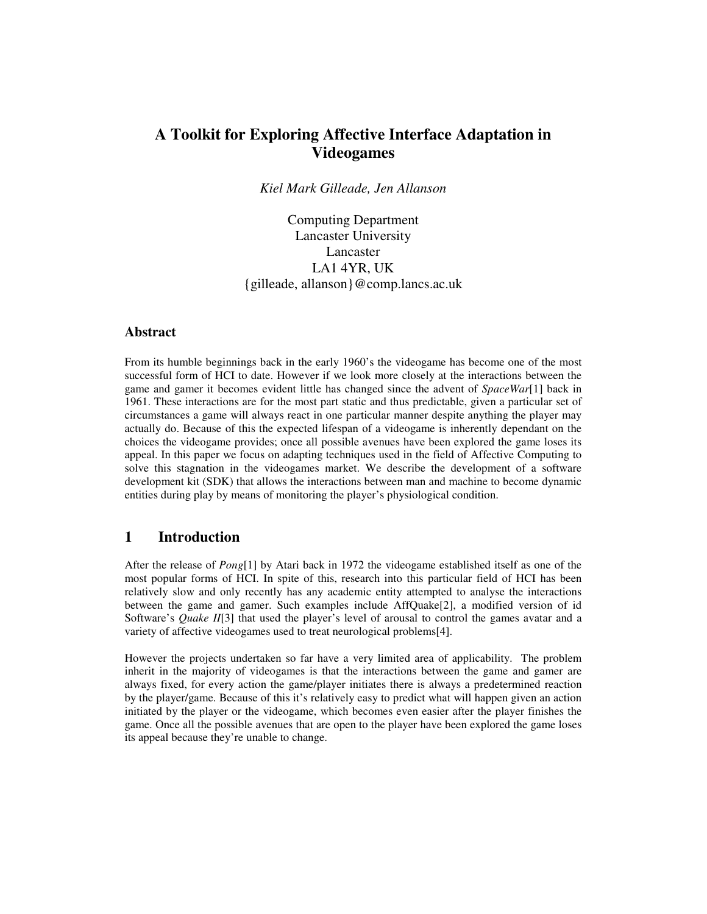# **A Toolkit for Exploring Affective Interface Adaptation in Videogames**

*Kiel Mark Gilleade, Jen Allanson*

Computing Department Lancaster University Lancaster LA1 4YR, UK {gilleade, allanson}@comp.lancs.ac.uk

#### **Abstract**

From its humble beginnings back in the early 1960's the videogame has become one of the most successful form of HCI to date. However if we look more closely at the interactions between the game and gamer it becomes evident little has changed since the advent of *SpaceWar*[1] back in 1961. These interactions are for the most part static and thus predictable, given a particular set of circumstances a game will always react in one particular manner despite anything the player may actually do. Because of this the expected lifespan of a videogame is inherently dependant on the choices the videogame provides; once all possible avenues have been explored the game loses its appeal. In this paper we focus on adapting techniques used in the field of Affective Computing to solve this stagnation in the videogames market. We describe the development of a software development kit (SDK) that allows the interactions between man and machine to become dynamic entities during play by means of monitoring the player's physiological condition.

#### **1 Introduction**

After the release of *Pong*[1] by Atari back in 1972 the videogame established itself as one of the most popular forms of HCI. In spite of this, research into this particular field of HCI has been relatively slow and only recently has any academic entity attempted to analyse the interactions between the game and gamer. Such examples include AffQuake[2], a modified version of id Software's *Quake II*[3] that used the player's level of arousal to control the games avatar and a variety of affective videogames used to treat neurological problems[4].

However the projects undertaken so far have a very limited area of applicability. The problem inherit in the majority of videogames is that the interactions between the game and gamer are always fixed, for every action the game/player initiates there is always a predetermined reaction by the player/game. Because of this it's relatively easy to predict what will happen given an action initiated by the player or the videogame, which becomes even easier after the player finishes the game. Once all the possible avenues that are open to the player have been explored the game loses its appeal because they're unable to change.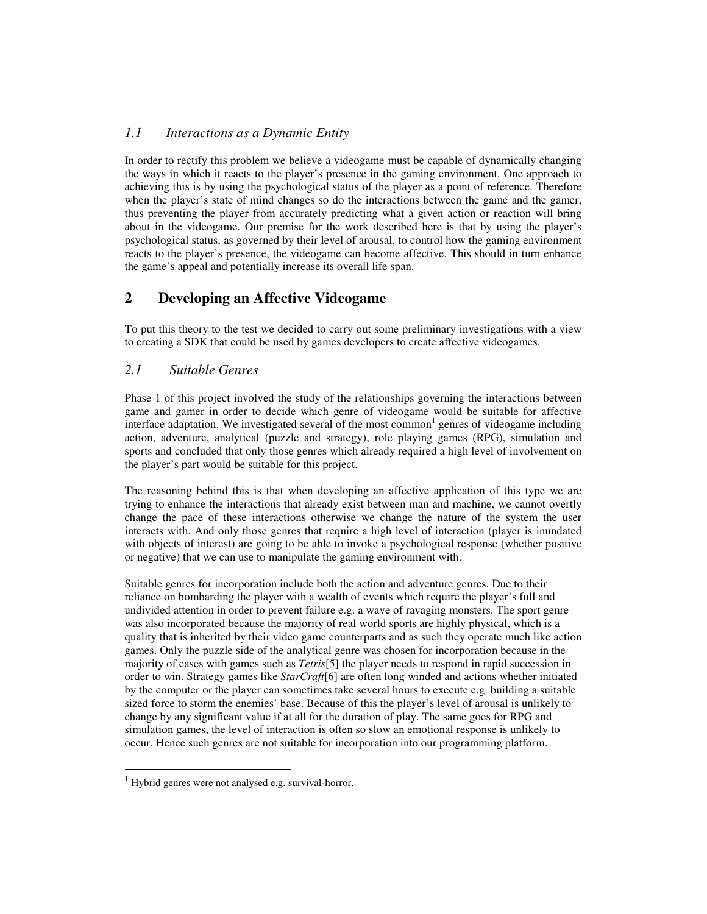#### *1.1 Interactions as a Dynamic Entity*

In order to rectify this problem we believe a videogame must be capable of dynamically changing the ways in which it reacts to the player's presence in the gaming environment. One approach to achieving this is by using the psychological status of the player as a point of reference. Therefore when the player's state of mind changes so do the interactions between the game and the gamer, thus preventing the player from accurately predicting what a given action or reaction will bring about in the videogame. Our premise for the work described here is that by using the player's psychological status, as governed by their level of arousal, to control how the gaming environment reacts to the player's presence, the videogame can become affective. This should in turn enhance the game's appeal and potentially increase its overall life span.

## **2 Developing an Affective Videogame**

To put this theory to the test we decided to carry out some preliminary investigations with a view to creating a SDK that could be used by games developers to create affective videogames.

### *2.1 Suitable Genres*

Phase 1 of this project involved the study of the relationships governing the interactions between game and gamer in order to decide which genre of videogame would be suitable for affective interface adaptation. We investigated several of the most common 1 genres of videogame including action, adventure, analytical (puzzle and strategy), role playing games (RPG), simulation and sports and concluded that only those genres which already required a high level of involvement on the player's part would be suitable for this project.

The reasoning behind this is that when developing an affective application of this type we are trying to enhance the interactions that already exist between man and machine, we cannot overtly change the pace of these interactions otherwise we change the nature of the system the user interacts with. And only those genres that require a high level of interaction (player is inundated with objects of interest) are going to be able to invoke a psychological response (whether positive or negative) that we can use to manipulate the gaming environment with.

Suitable genres for incorporation include both the action and adventure genres. Due to their reliance on bombarding the player with a wealth of events which require the player's full and undivided attention in order to prevent failure e.g. a wave of ravaging monsters. The sport genre was also incorporated because the majority of real world sports are highly physical, which is a quality that is inherited by their video game counterparts and as such they operate much like action games. Only the puzzle side of the analytical genre was chosen for incorporation because in the majority of cases with games such as *Tetris*[5] the player needs to respond in rapid succession in order to win. Strategy games like *StarCraft*[6] are often long winded and actions whether initiated by the computer or the player can sometimes take several hours to execute e.g. building a suitable sized force to storm the enemies' base. Because of this the player's level of arousal is unlikely to change by any significant value if at all for the duration of play. The same goes for RPG and simulation games, the level of interaction is often so slow an emotional response is unlikely to occur. Hence such genres are not suitable for incorporation into our programming platform.

<sup>&</sup>lt;sup>1</sup> Hybrid genres were not analysed e.g. survival-horror.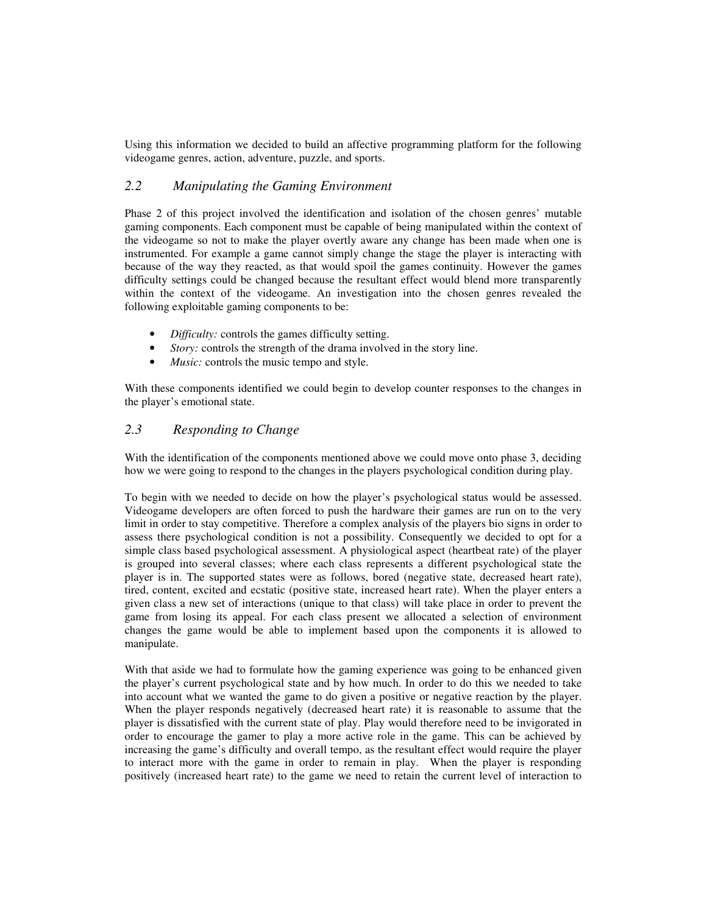Using this information we decided to build an affective programming platform for the following videogame genres, action, adventure, puzzle, and sports.

#### *2.2 Manipulating the Gaming Environment*

Phase 2 of this project involved the identification and isolation of the chosen genres' mutable gaming components. Each component must be capable of being manipulated within the context of the videogame so not to make the player overtly aware any change has been made when one is instrumented. For example a game cannot simply change the stage the player is interacting with because of the way they reacted, as that would spoil the games continuity. However the games difficulty settings could be changed because the resultant effect would blend more transparently within the context of the videogame. An investigation into the chosen genres revealed the following exploitable gaming components to be:

- *Difficulty:* controls the games difficulty setting.
- *Story:* controls the strength of the drama involved in the story line.
- *Music:* controls the music tempo and style.

With these components identified we could begin to develop counter responses to the changes in the player's emotional state.

#### *2.3 Responding to Change*

With the identification of the components mentioned above we could move onto phase 3, deciding how we were going to respond to the changes in the players psychological condition during play.

To begin with we needed to decide on how the player's psychological status would be assessed. Videogame developers are often forced to push the hardware their games are run on to the very limit in order to stay competitive. Therefore a complex analysis of the players bio signs in order to assess there psychological condition is not a possibility. Consequently we decided to opt for a simple class based psychological assessment. A physiological aspect (heartbeat rate) of the player is grouped into several classes; where each class represents a different psychological state the player is in. The supported states were as follows, bored (negative state, decreased heart rate), tired, content, excited and ecstatic (positive state, increased heart rate). When the player enters a given class a new set of interactions (unique to that class) will take place in order to prevent the game from losing its appeal. For each class present we allocated a selection of environment changes the game would be able to implement based upon the components it is allowed to manipulate.

With that aside we had to formulate how the gaming experience was going to be enhanced given the player's current psychological state and by how much. In order to do this we needed to take into account what we wanted the game to do given a positive or negative reaction by the player. When the player responds negatively (decreased heart rate) it is reasonable to assume that the player is dissatisfied with the current state of play. Play would therefore need to be invigorated in order to encourage the gamer to play a more active role in the game. This can be achieved by increasing the game's difficulty and overall tempo, as the resultant effect would require the player to interact more with the game in order to remain in play. When the player is responding positively (increased heart rate) to the game we need to retain the current level of interaction to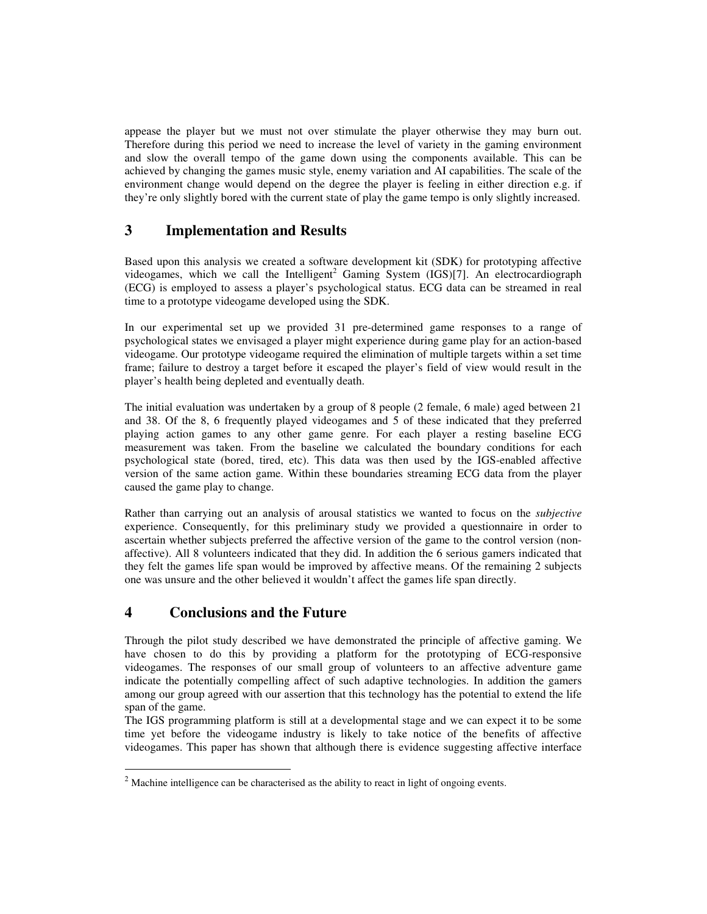appease the player but we must not over stimulate the player otherwise they may burn out. Therefore during this period we need to increase the level of variety in the gaming environment and slow the overall tempo of the game down using the components available. This can be achieved by changing the games music style, enemy variation and AI capabilities. The scale of the environment change would depend on the degree the player is feeling in either direction e.g. if they're only slightly bored with the current state of play the game tempo is only slightly increased.

## **3 Implementation and Results**

Based upon this analysis we created a software development kit (SDK) for prototyping affective videogames, which we call the Intelligent<sup>2</sup> Gaming System (IGS)[7]. An electrocardiograph (ECG) is employed to assess a player's psychological status. ECG data can be streamed in real time to a prototype videogame developed using the SDK.

In our experimental set up we provided 31 pre-determined game responses to a range of psychological states we envisaged a player might experience during game play for an action-based videogame. Our prototype videogame required the elimination of multiple targets within a set time frame; failure to destroy a target before it escaped the player's field of view would result in the player's health being depleted and eventually death.

The initial evaluation was undertaken by a group of 8 people (2 female, 6 male) aged between 21 and 38. Of the 8, 6 frequently played videogames and 5 of these indicated that they preferred playing action games to any other game genre. For each player a resting baseline ECG measurement was taken. From the baseline we calculated the boundary conditions for each psychological state (bored, tired, etc). This data was then used by the IGS-enabled affective version of the same action game. Within these boundaries streaming ECG data from the player caused the game play to change.

Rather than carrying out an analysis of arousal statistics we wanted to focus on the *subjective* experience. Consequently, for this preliminary study we provided a questionnaire in order to ascertain whether subjects preferred the affective version of the game to the control version (nonaffective). All 8 volunteers indicated that they did. In addition the 6 serious gamers indicated that they felt the games life span would be improved by affective means. Of the remaining 2 subjects one was unsure and the other believed it wouldn't affect the games life span directly.

### **4 Conclusions and the Future**

Through the pilot study described we have demonstrated the principle of affective gaming. We have chosen to do this by providing a platform for the prototyping of ECG-responsive videogames. The responses of our small group of volunteers to an affective adventure game indicate the potentially compelling affect of such adaptive technologies. In addition the gamers among our group agreed with our assertion that this technology has the potential to extend the life span of the game.

The IGS programming platform is still at a developmental stage and we can expect it to be some time yet before the videogame industry is likely to take notice of the benefits of affective videogames. This paper has shown that although there is evidence suggesting affective interface

 $2$  Machine intelligence can be characterised as the ability to react in light of ongoing events.